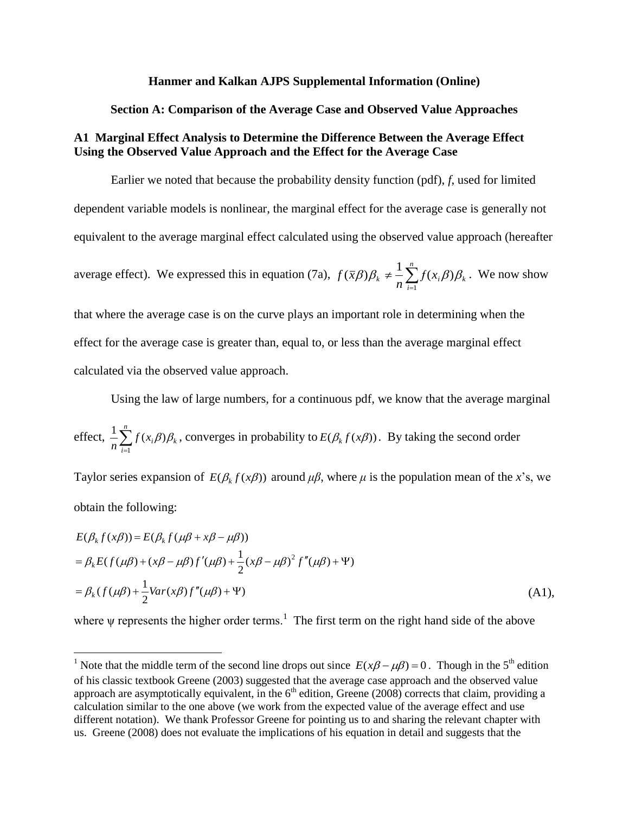#### **Hanmer and Kalkan AJPS Supplemental Information (Online)**

#### **Section A: Comparison of the Average Case and Observed Value Approaches**

# **A1 Marginal Effect Analysis to Determine the Difference Between the Average Effect Using the Observed Value Approach and the Effect for the Average Case**

Earlier we noted that because the probability density function (pdf), *f*, used for limited dependent variable models is nonlinear, the marginal effect for the average case is generally not equivalent to the average marginal effect calculated using the observed value approach (hereafter

average effect). We expressed this in equation (7a), 
$$
f(\bar{x}\beta)\beta_k \neq \frac{1}{n}\sum_{i=1}^n f(x_i\beta)\beta_k
$$
. We now show

that where the average case is on the curve plays an important role in determining when the effect for the average case is greater than, equal to, or less than the average marginal effect calculated via the observed value approach.

Using the law of large numbers, for a continuous pdf, we know that the average marginal

effect, 
$$
\frac{1}{n} \sum_{i=1}^{n} f(x_i, \beta) \beta_k
$$
, converges in probability to  $E(\beta_k f(x, \beta))$ . By taking the second order

Taylor series expansion of  $E(\beta_k f(x\beta))$  around  $\mu\beta$ , where  $\mu$  is the population mean of the *x*'s, we obtain the following:

$$
E(\beta_k f(x\beta)) = E(\beta_k f(\mu\beta + x\beta - \mu\beta))
$$
  
=  $\beta_k E(f(\mu\beta) + (x\beta - \mu\beta)f'(\mu\beta) + \frac{1}{2}(x\beta - \mu\beta)^2 f''(\mu\beta) + \Psi)$   
=  $\beta_k (f(\mu\beta) + \frac{1}{2}Var(x\beta)f''(\mu\beta) + \Psi)$  (A1),

where  $\psi$  represents the higher order terms.<sup>1</sup> The first term on the right hand side of the above

<sup>&</sup>lt;sup>1</sup> Note that the middle term of the second line drops out since  $E(x\beta - \mu\beta) = 0$ . Though in the 5<sup>th</sup> edition of his classic textbook Greene (2003) suggested that the average case approach and the observed value approach are asymptotically equivalent, in the  $6<sup>th</sup>$  edition, Greene (2008) corrects that claim, providing a calculation similar to the one above (we work from the expected value of the average effect and use different notation). We thank Professor Greene for pointing us to and sharing the relevant chapter with us. Greene (2008) does not evaluate the implications of his equation in detail and suggests that the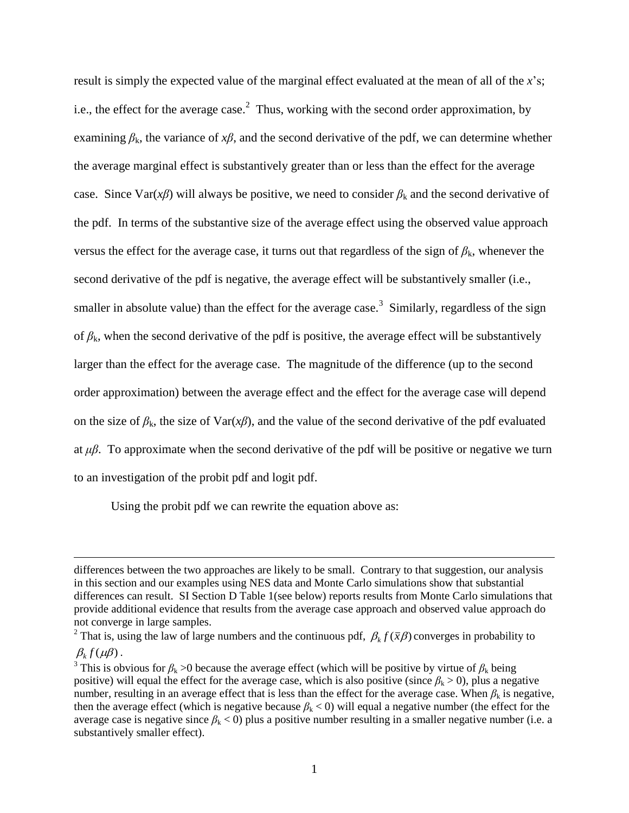result is simply the expected value of the marginal effect evaluated at the mean of all of the *x*'s; i.e., the effect for the average case.<sup>2</sup> Thus, working with the second order approximation, by examining  $\beta_k$ , the variance of  $x\beta$ , and the second derivative of the pdf, we can determine whether the average marginal effect is substantively greater than or less than the effect for the average case. Since Var( $x\beta$ ) will always be positive, we need to consider  $\beta_k$  and the second derivative of the pdf. In terms of the substantive size of the average effect using the observed value approach versus the effect for the average case, it turns out that regardless of the sign of  $\beta_k$ , whenever the second derivative of the pdf is negative, the average effect will be substantively smaller (i.e., smaller in absolute value) than the effect for the average case.<sup>3</sup> Similarly, regardless of the sign of  $\beta_k$ , when the second derivative of the pdf is positive, the average effect will be substantively larger than the effect for the average case. The magnitude of the difference (up to the second order approximation) between the average effect and the effect for the average case will depend on the size of  $\beta_k$ , the size of Var( $x\beta$ ), and the value of the second derivative of the pdf evaluated at *μβ*. To approximate when the second derivative of the pdf will be positive or negative we turn to an investigation of the probit pdf and logit pdf.

Using the probit pdf we can rewrite the equation above as:

differences between the two approaches are likely to be small. Contrary to that suggestion, our analysis in this section and our examples using NES data and Monte Carlo simulations show that substantial differences can result. SI Section D Table 1(see below) reports results from Monte Carlo simulations that provide additional evidence that results from the average case approach and observed value approach do not converge in large samples.

<sup>&</sup>lt;sup>2</sup> That is, using the law of large numbers and the continuous pdf,  $\beta_k f(\bar{x}\beta)$  converges in probability to  $\beta_k f(\mu \beta)$ .

<sup>&</sup>lt;sup>3</sup> This is obvious for  $\beta_k > 0$  because the average effect (which will be positive by virtue of  $\beta_k$  being positive) will equal the effect for the average case, which is also positive (since  $\beta_k > 0$ ), plus a negative number, resulting in an average effect that is less than the effect for the average case. When  $\beta_k$  is negative, then the average effect (which is negative because  $\beta_k$  < 0) will equal a negative number (the effect for the average case is negative since  $\beta_k$  < 0) plus a positive number resulting in a smaller negative number (i.e. a substantively smaller effect).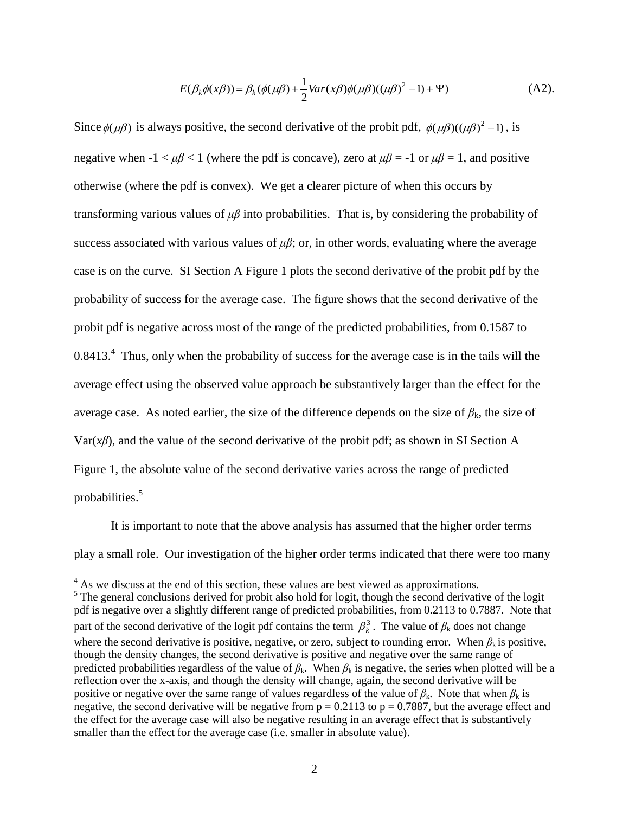$$
E(\beta_k \phi(x\beta)) = \beta_k (\phi(\mu \beta) + \frac{1}{2} \text{Var}(x\beta)\phi(\mu \beta)((\mu \beta)^2 - 1) + \Psi)
$$
 (A2).

Since  $\phi(\mu\beta)$  is always positive, the second derivative of the probit pdf,  $\phi(\mu\beta)((\mu\beta)^2 - 1)$ , is negative when  $-1 < \mu\beta < 1$  (where the pdf is concave), zero at  $\mu\beta = -1$  or  $\mu\beta = 1$ , and positive otherwise (where the pdf is convex). We get a clearer picture of when this occurs by transforming various values of *μβ* into probabilities. That is, by considering the probability of success associated with various values of  $\mu\beta$ ; or, in other words, evaluating where the average case is on the curve. SI Section A Figure 1 plots the second derivative of the probit pdf by the probability of success for the average case. The figure shows that the second derivative of the probit pdf is negative across most of the range of the predicted probabilities, from 0.1587 to  $0.8413<sup>4</sup>$  Thus, only when the probability of success for the average case is in the tails will the average effect using the observed value approach be substantively larger than the effect for the average case. As noted earlier, the size of the difference depends on the size of  $\beta_k$ , the size of Var(*xβ*), and the value of the second derivative of the probit pdf; as shown in SI Section A Figure 1, the absolute value of the second derivative varies across the range of predicted probabilities.<sup>5</sup>

It is important to note that the above analysis has assumed that the higher order terms play a small role. Our investigation of the higher order terms indicated that there were too many

<sup>&</sup>lt;sup>4</sup> As we discuss at the end of this section, these values are best viewed as approximations.

<sup>&</sup>lt;sup>5</sup> The general conclusions derived for probit also hold for logit, though the second derivative of the logit pdf is negative over a slightly different range of predicted probabilities, from 0.2113 to 0.7887. Note that part of the second derivative of the logit pdf contains the term  $\beta_k^3$ . The value of  $\beta_k$  does not change where the second derivative is positive, negative, or zero, subject to rounding error. When  $\beta_k$  is positive, though the density changes, the second derivative is positive and negative over the same range of predicted probabilities regardless of the value of  $\beta_k$ . When  $\beta_k$  is negative, the series when plotted will be a reflection over the x-axis, and though the density will change, again, the second derivative will be positive or negative over the same range of values regardless of the value of  $\beta_k$ . Note that when  $\beta_k$  is negative, the second derivative will be negative from  $p = 0.2113$  to  $p = 0.7887$ , but the average effect and the effect for the average case will also be negative resulting in an average effect that is substantively smaller than the effect for the average case (i.e. smaller in absolute value).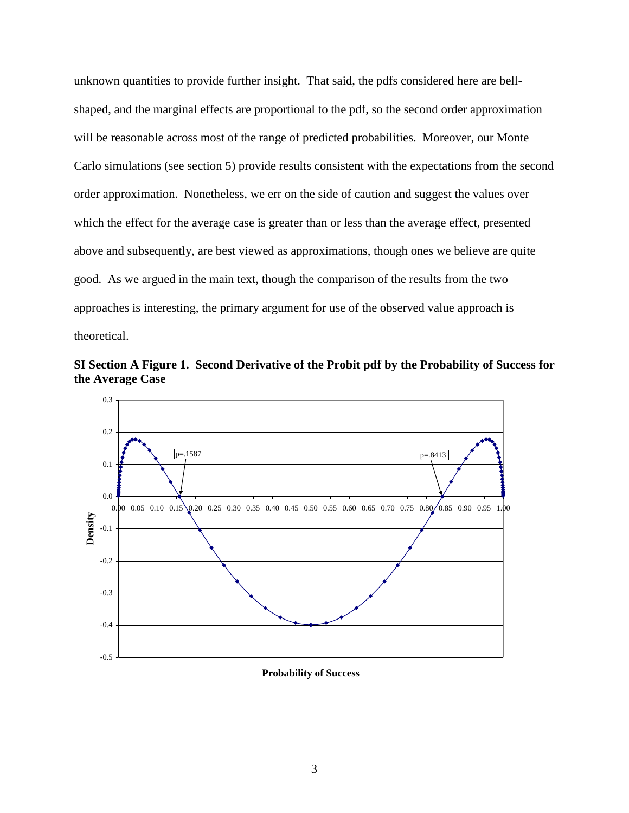unknown quantities to provide further insight. That said, the pdfs considered here are bellshaped, and the marginal effects are proportional to the pdf, so the second order approximation will be reasonable across most of the range of predicted probabilities. Moreover, our Monte Carlo simulations (see section 5) provide results consistent with the expectations from the second order approximation. Nonetheless, we err on the side of caution and suggest the values over which the effect for the average case is greater than or less than the average effect, presented above and subsequently, are best viewed as approximations, though ones we believe are quite good. As we argued in the main text, though the comparison of the results from the two approaches is interesting, the primary argument for use of the observed value approach is theoretical.



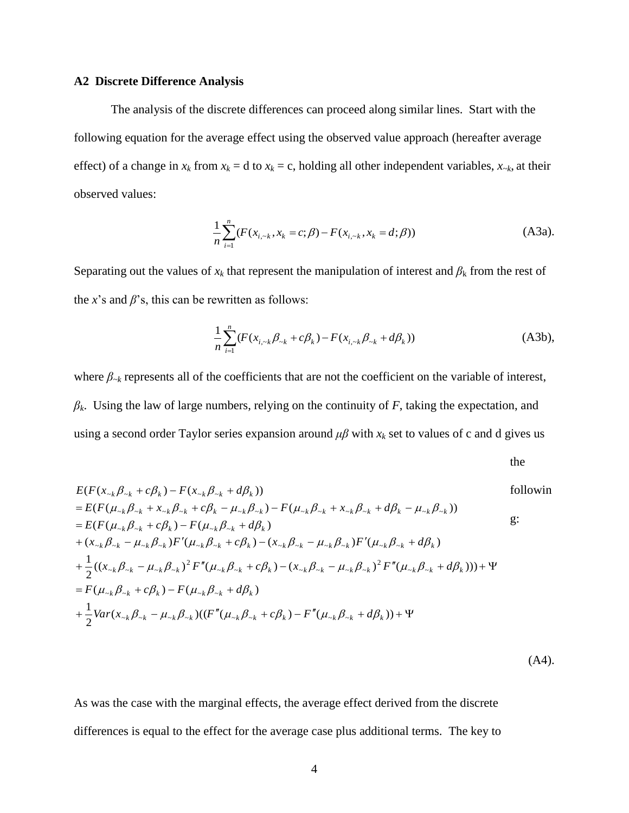#### **A2 Discrete Difference Analysis**

The analysis of the discrete differences can proceed along similar lines. Start with the following equation for the average effect using the observed value approach (hereafter average effect) of a change in  $x_k$  from  $x_k = d$  to  $x_k = c$ , holding all other independent variables,  $x_{-k}$ , at their observed values:

$$
\frac{1}{n}\sum_{i=1}^{n}(F(x_{i, \sim k}, x_k = c; \beta) - F(x_{i, \sim k}, x_k = d; \beta))
$$
 (A3a).

Separating out the values of  $x_k$  that represent the manipulation of interest and  $\beta_k$  from the rest of the  $x$ 's and  $\beta$ 's, this can be rewritten as follows:

$$
\frac{1}{n}\sum_{i=1}^{n}(F(x_{i,\sim k}\beta_{\sim k} + c\beta_{k}) - F(x_{i,\sim k}\beta_{\sim k} + d\beta_{k}))
$$
\n(A3b),

where  $\beta_{-k}$  represents all of the coefficients that are not the coefficient on the variable of interest, *βk*. Using the law of large numbers, relying on the continuity of *F*, taking the expectation, and using a second order Taylor series expansion around  $\mu\beta$  with  $x_k$  set to values of c and d gives us

the

(A4).

the  
\n
$$
E(F(x_{\lambda k}\beta_{\lambda k} + c\beta_k) - F(x_{\lambda k}\beta_{\lambda k} + d\beta_k))
$$
\nfollowin  
\n
$$
= E(F(\mu_{\lambda k}\beta_{\lambda k} + x_{\lambda k}\beta_{\lambda k} + c\beta_k - \mu_{\lambda k}\beta_{\lambda k}) - F(\mu_{\lambda k}\beta_{\lambda k} + x_{\lambda k}\beta_{\lambda k} + d\beta_k - \mu_{\lambda k}\beta_{\lambda k}))
$$
\n
$$
= E(F(\mu_{\lambda k}\beta_{\lambda k} + c\beta_k) - F(\mu_{\lambda k}\beta_{\lambda k} + d\beta_k)
$$
\n
$$
+ (x_{\lambda k}\beta_{\lambda k} - \mu_{\lambda k}\beta_{\lambda k})F'(\mu_{\lambda k}\beta_{\lambda k} + c\beta_k) - (x_{\lambda k}\beta_{\lambda k} - \mu_{\lambda k}\beta_{\lambda k})F'(\mu_{\lambda k}\beta_{\lambda k} + d\beta_k)
$$
\n
$$
+ \frac{1}{2}((x_{\lambda k}\beta_{\lambda k} - \mu_{\lambda k}\beta_{\lambda k})^2 F''(\mu_{\lambda k}\beta_{\lambda k} + c\beta_k) - (x_{\lambda k}\beta_{\lambda k} - \mu_{\lambda k}\beta_{\lambda k})^2 F''(\mu_{\lambda k}\beta_{\lambda k} + d\beta_k))) + \Psi
$$
\n
$$
= F(\mu_{\lambda k}\beta_{\lambda k} + c\beta_k) - F(\mu_{\lambda k}\beta_{\lambda k} + d\beta_k)
$$
\n
$$
+ \frac{1}{2}Var(x_{\lambda k}\beta_{\lambda k} - \mu_{\lambda k}\beta_{\lambda k})((F''(\mu_{\lambda k}\beta_{\lambda k} + c\beta_k) - F''(\mu_{\lambda k}\beta_{\lambda k} + d\beta_k)) + \Psi
$$

As was the case with the marginal effects, the average effect derived from the discrete differences is equal to the effect for the average case plus additional terms. The key to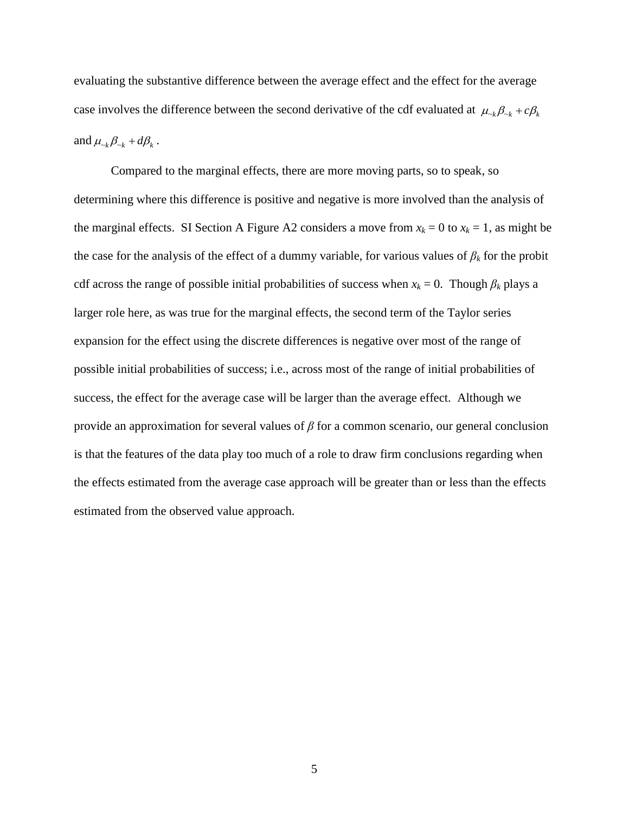evaluating the substantive difference between the average effect and the effect for the average case involves the difference between the second derivative of the cdf evaluated at  $\mu_{\alpha k} \beta_{\alpha k} + c \beta_k$ and  $\mu_{\alpha k} \beta_{\alpha k} + d \beta_k$ .

Compared to the marginal effects, there are more moving parts, so to speak, so determining where this difference is positive and negative is more involved than the analysis of the marginal effects. SI Section A Figure A2 considers a move from  $x_k = 0$  to  $x_k = 1$ , as might be the case for the analysis of the effect of a dummy variable, for various values of  $\beta_k$  for the probit cdf across the range of possible initial probabilities of success when  $x_k = 0$ . Though  $\beta_k$  plays a larger role here, as was true for the marginal effects, the second term of the Taylor series expansion for the effect using the discrete differences is negative over most of the range of possible initial probabilities of success; i.e., across most of the range of initial probabilities of success, the effect for the average case will be larger than the average effect. Although we provide an approximation for several values of *β* for a common scenario, our general conclusion is that the features of the data play too much of a role to draw firm conclusions regarding when the effects estimated from the average case approach will be greater than or less than the effects estimated from the observed value approach.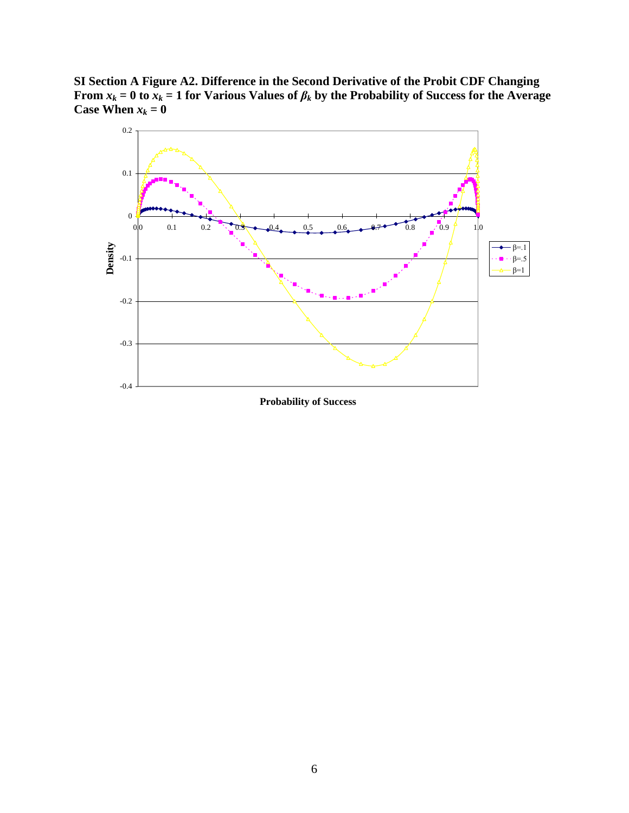**SI Section A Figure A2. Difference in the Second Derivative of the Probit CDF Changing From** *x*<sup>*k*</sup> = 0 to *x*<sup>*k*</sup> = 1 for Various Values of  $\beta_k$  by the Probability of Success for the Average **Case When**  $x_k = 0$ 

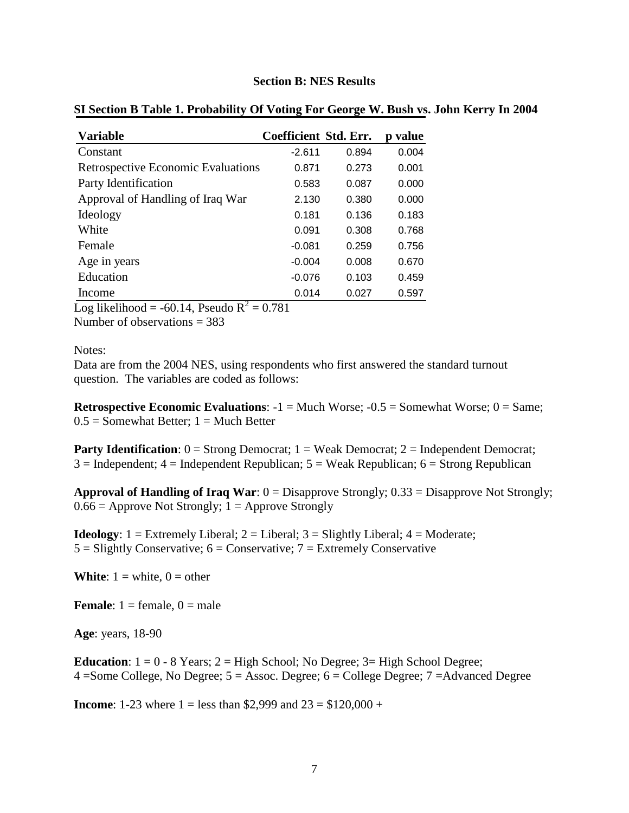#### **Section B: NES Results**

| <b>Variable</b>                           | Coefficient Std. Err. |       | p value |
|-------------------------------------------|-----------------------|-------|---------|
| Constant                                  | $-2.611$              | 0.894 | 0.004   |
| <b>Retrospective Economic Evaluations</b> | 0.871                 | 0.273 | 0.001   |
| Party Identification                      | 0.583                 | 0.087 | 0.000   |
| Approval of Handling of Iraq War          | 2.130                 | 0.380 | 0.000   |
| Ideology                                  | 0.181                 | 0.136 | 0.183   |
| White                                     | 0.091                 | 0.308 | 0.768   |
| Female                                    | $-0.081$              | 0.259 | 0.756   |
| Age in years                              | $-0.004$              | 0.008 | 0.670   |
| Education                                 | $-0.076$              | 0.103 | 0.459   |
| Income                                    | 0.014                 | 0.027 | 0.597   |

#### **SI Section B Table 1. Probability Of Voting For George W. Bush vs. John Kerry In 2004**

Log likelihood =  $-60.14$ , Pseudo R<sup>2</sup> = 0.781

Number of observations = 383

#### Notes:

Data are from the 2004 NES, using respondents who first answered the standard turnout question. The variables are coded as follows:

**Retrospective Economic Evaluations:**  $-1 =$  Much Worse;  $-0.5 =$  Somewhat Worse;  $0 =$  Same;  $0.5 =$  Somewhat Better;  $1 =$  Much Better

**Party Identification**:  $0 =$  Strong Democrat;  $1 =$  Weak Democrat;  $2 =$  Independent Democrat;  $3 =$ Independent;  $4 =$ Independent Republican;  $5 =$ Weak Republican;  $6 =$ Strong Republican

**Approval of Handling of Iraq War**: 0 = Disapprove Strongly; 0.33 = Disapprove Not Strongly;  $0.66$  = Approve Not Strongly; 1 = Approve Strongly

**Ideology**:  $1 =$  Extremely Liberal;  $2 =$  Liberal;  $3 =$  Slightly Liberal;  $4 =$  Moderate;  $5 =$  Slightly Conservative;  $6 =$  Conservative;  $7 =$  Extremely Conservative

**White**:  $1 = \text{white}$ ,  $0 = \text{other}$ 

**Female**:  $1 =$  female,  $0 =$  male

**Age**: years, 18-90

**Education**:  $1 = 0 - 8$  Years;  $2 =$  High School; No Degree;  $3 =$  High School Degree; 4 =Some College, No Degree; 5 = Assoc. Degree; 6 = College Degree; 7 =Advanced Degree

**Income**: 1-23 where  $1 =$  less than \$2,999 and  $23 =$  \$120,000 +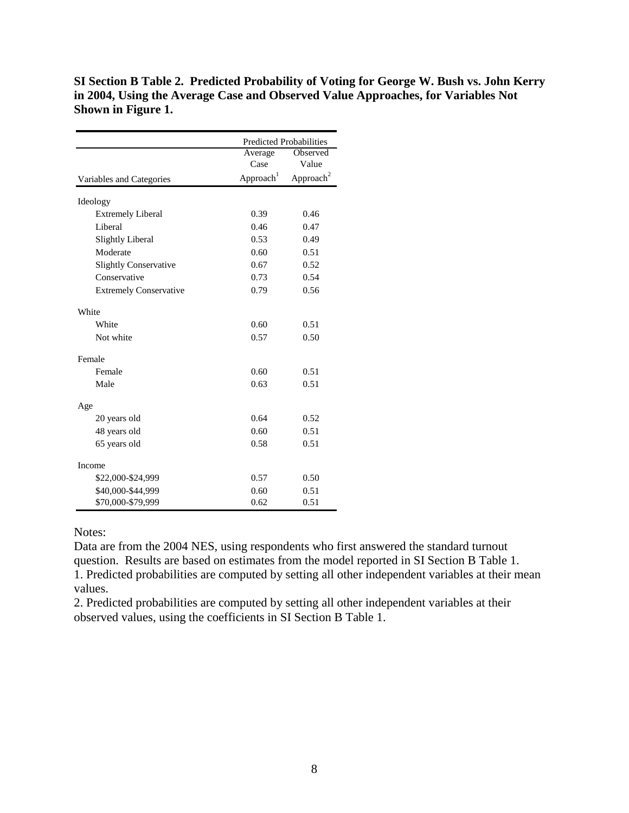**SI Section B Table 2. Predicted Probability of Voting for George W. Bush vs. John Kerry in 2004, Using the Average Case and Observed Value Approaches, for Variables Not Shown in Figure 1.**

|                               |                       | <b>Predicted Probabilities</b> |  |  |  |
|-------------------------------|-----------------------|--------------------------------|--|--|--|
|                               | Average               | Observed                       |  |  |  |
|                               | Case                  | Value                          |  |  |  |
| Variables and Categories      | Approach <sup>1</sup> | Approach <sup>2</sup>          |  |  |  |
| Ideology                      |                       |                                |  |  |  |
| <b>Extremely Liberal</b>      | 0.39                  | 0.46                           |  |  |  |
| Liberal                       | 0.46                  | 0.47                           |  |  |  |
| <b>Slightly Liberal</b>       | 0.53                  | 0.49                           |  |  |  |
| Moderate                      | 0.60                  | 0.51                           |  |  |  |
| <b>Slightly Conservative</b>  | 0.67                  | 0.52                           |  |  |  |
| Conservative                  | 0.73                  | 0.54                           |  |  |  |
| <b>Extremely Conservative</b> | 0.79                  | 0.56                           |  |  |  |
| White                         |                       |                                |  |  |  |
| White                         | 0.60                  | 0.51                           |  |  |  |
| Not white                     | 0.57                  | 0.50                           |  |  |  |
| Female                        |                       |                                |  |  |  |
| Female                        | 0.60                  | 0.51                           |  |  |  |
| Male                          | 0.63                  | 0.51                           |  |  |  |
| Age                           |                       |                                |  |  |  |
| 20 years old                  | 0.64                  | 0.52                           |  |  |  |
| 48 years old                  | 0.60                  | 0.51                           |  |  |  |
| 65 years old                  | 0.58                  | 0.51                           |  |  |  |
| Income                        |                       |                                |  |  |  |
| \$22,000-\$24,999             | 0.57                  | 0.50                           |  |  |  |
| \$40,000-\$44,999             | 0.60                  | 0.51                           |  |  |  |
| \$70,000-\$79,999             | 0.62                  | 0.51                           |  |  |  |

#### Notes:

Data are from the 2004 NES, using respondents who first answered the standard turnout question. Results are based on estimates from the model reported in SI Section B Table 1. 1. Predicted probabilities are computed by setting all other independent variables at their mean values.

2. Predicted probabilities are computed by setting all other independent variables at their observed values, using the coefficients in SI Section B Table 1.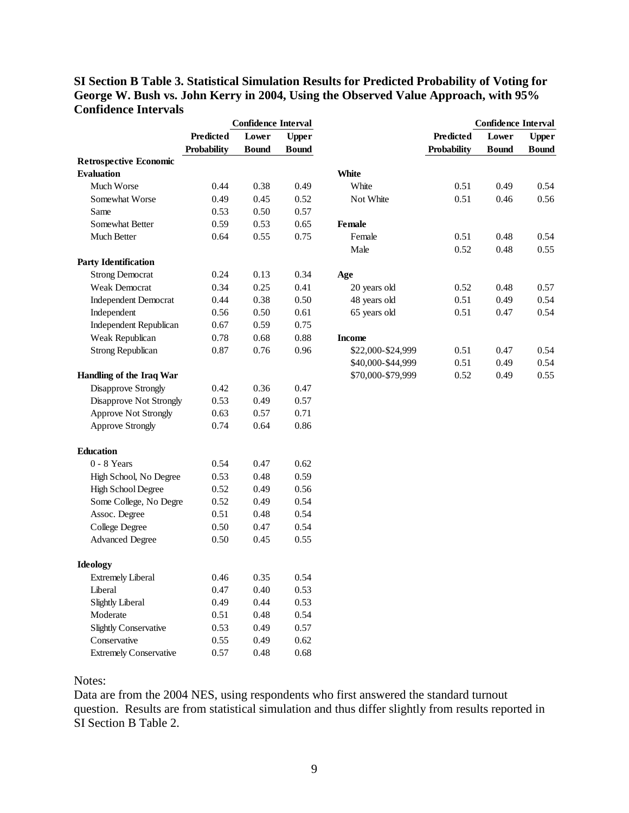## **SI Section B Table 3. Statistical Simulation Results for Predicted Probability of Voting for George W. Bush vs. John Kerry in 2004, Using the Observed Value Approach, with 95% Confidence Intervals**

|                               | <b>Confidence Interval</b> |              |              |                   | <b>Confidence Interval</b> |              |              |  |
|-------------------------------|----------------------------|--------------|--------------|-------------------|----------------------------|--------------|--------------|--|
|                               | <b>Predicted</b>           | Lower        | <b>Upper</b> |                   | Predicted                  | Lower        | <b>Upper</b> |  |
|                               | Probability                | <b>Bound</b> | <b>Bound</b> |                   | Probability                | <b>Bound</b> | <b>Bound</b> |  |
| <b>Retrospective Economic</b> |                            |              |              |                   |                            |              |              |  |
| <b>Evaluation</b>             |                            |              |              | White             |                            |              |              |  |
| Much Worse                    | 0.44                       | 0.38         | 0.49         | White             | 0.51                       | 0.49         | 0.54         |  |
| Somewhat Worse                | 0.49                       | 0.45         | 0.52         | Not White         | 0.51                       | 0.46         | 0.56         |  |
| Same                          | 0.53                       | 0.50         | 0.57         |                   |                            |              |              |  |
| Somewhat Better               | 0.59                       | 0.53         | 0.65         | Female            |                            |              |              |  |
| Much Better                   | 0.64                       | 0.55         | 0.75         | Female            | 0.51                       | 0.48         | 0.54         |  |
|                               |                            |              |              | Male              | 0.52                       | 0.48         | 0.55         |  |
| <b>Party Identification</b>   |                            |              |              |                   |                            |              |              |  |
| <b>Strong Democrat</b>        | 0.24                       | 0.13         | 0.34         | Age               |                            |              |              |  |
| Weak Democrat                 | 0.34                       | 0.25         | 0.41         | 20 years old      | 0.52                       | 0.48         | 0.57         |  |
| <b>Independent Democrat</b>   | 0.44                       | 0.38         | 0.50         | 48 years old      | 0.51                       | 0.49         | 0.54         |  |
| Independent                   | 0.56                       | 0.50         | 0.61         | 65 years old      | 0.51                       | 0.47         | 0.54         |  |
| Independent Republican        | 0.67                       | 0.59         | 0.75         |                   |                            |              |              |  |
| Weak Republican               | 0.78                       | 0.68         | 0.88         | <b>Income</b>     |                            |              |              |  |
| <b>Strong Republican</b>      | 0.87                       | 0.76         | 0.96         | \$22,000-\$24,999 | 0.51                       | 0.47         | 0.54         |  |
|                               |                            |              |              | \$40,000-\$44,999 | 0.51                       | 0.49         | 0.54         |  |
| Handling of the Iraq War      |                            |              |              | \$70,000-\$79,999 | 0.52                       | 0.49         | 0.55         |  |
| Disapprove Strongly           | 0.42                       | 0.36         | 0.47         |                   |                            |              |              |  |
| Disapprove Not Strongly       | 0.53                       | 0.49         | 0.57         |                   |                            |              |              |  |
| <b>Approve Not Strongly</b>   | 0.63                       | 0.57         | 0.71         |                   |                            |              |              |  |
| <b>Approve Strongly</b>       | 0.74                       | 0.64         | 0.86         |                   |                            |              |              |  |
| <b>Education</b>              |                            |              |              |                   |                            |              |              |  |
| $0 - 8$ Years                 | 0.54                       | 0.47         | 0.62         |                   |                            |              |              |  |
| High School, No Degree        | 0.53                       | 0.48         | 0.59         |                   |                            |              |              |  |
| High School Degree            | 0.52                       | 0.49         | 0.56         |                   |                            |              |              |  |
| Some College, No Degre        | 0.52                       | 0.49         | 0.54         |                   |                            |              |              |  |
| Assoc. Degree                 | 0.51                       | 0.48         | 0.54         |                   |                            |              |              |  |
| College Degree                | 0.50                       | 0.47         | 0.54         |                   |                            |              |              |  |
| <b>Advanced Degree</b>        | 0.50                       | 0.45         | 0.55         |                   |                            |              |              |  |
| <b>Ideology</b>               |                            |              |              |                   |                            |              |              |  |
| <b>Extremely Liberal</b>      | 0.46                       | 0.35         | 0.54         |                   |                            |              |              |  |
| Liberal                       | 0.47                       | 0.40         | 0.53         |                   |                            |              |              |  |
| <b>Slightly Liberal</b>       | 0.49                       | 0.44         | 0.53         |                   |                            |              |              |  |
| Moderate                      | 0.51                       | 0.48         | 0.54         |                   |                            |              |              |  |
| <b>Slightly Conservative</b>  | 0.53                       | 0.49         | 0.57         |                   |                            |              |              |  |
| Conservative                  | 0.55                       | 0.49         | 0.62         |                   |                            |              |              |  |
| <b>Extremely Conservative</b> | 0.57                       | 0.48         | 0.68         |                   |                            |              |              |  |

## Notes:

Data are from the 2004 NES, using respondents who first answered the standard turnout question. Results are from statistical simulation and thus differ slightly from results reported in SI Section B Table 2.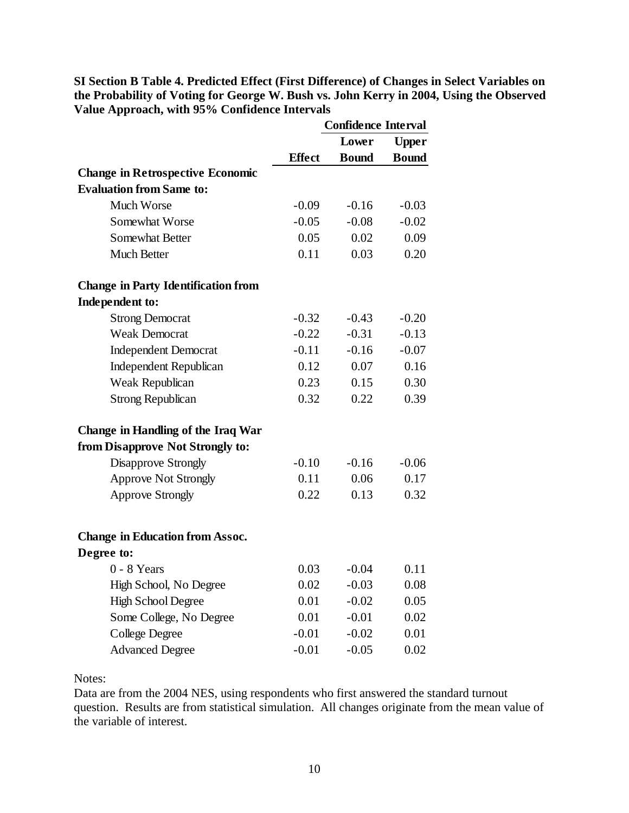**SI Section B Table 4. Predicted Effect (First Difference) of Changes in Select Variables on the Probability of Voting for George W. Bush vs. John Kerry in 2004, Using the Observed Value Approach, with 95% Confidence Intervals** 

|                                            |               | <b>Confidence Interval</b> |              |  |
|--------------------------------------------|---------------|----------------------------|--------------|--|
|                                            |               | Lower                      |              |  |
|                                            | <b>Effect</b> | <b>Bound</b>               | <b>Bound</b> |  |
| <b>Change in Retrospective Economic</b>    |               |                            |              |  |
| <b>Evaluation from Same to:</b>            |               |                            |              |  |
| <b>Much Worse</b>                          | $-0.09$       | $-0.16$                    | $-0.03$      |  |
| Somewhat Worse                             | $-0.05$       | $-0.08$                    | $-0.02$      |  |
| <b>Somewhat Better</b>                     | 0.05          | 0.02                       | 0.09         |  |
| <b>Much Better</b>                         | 0.11          | 0.03                       | 0.20         |  |
| <b>Change in Party Identification from</b> |               |                            |              |  |
| Independent to:                            |               |                            |              |  |
| <b>Strong Democrat</b>                     | $-0.32$       | $-0.43$                    | $-0.20$      |  |
| <b>Weak Democrat</b>                       | $-0.22$       | $-0.31$                    | $-0.13$      |  |
| <b>Independent Democrat</b>                | $-0.11$       | $-0.16$                    | $-0.07$      |  |
| <b>Independent Republican</b>              | 0.12          | 0.07                       | 0.16         |  |
| Weak Republican                            | 0.23          | 0.15                       | 0.30         |  |
| Strong Republican                          | 0.32          | 0.22                       | 0.39         |  |
| Change in Handling of the Iraq War         |               |                            |              |  |
| from Disapprove Not Strongly to:           |               |                            |              |  |
| Disapprove Strongly                        | $-0.10$       | $-0.16$                    | $-0.06$      |  |
| <b>Approve Not Strongly</b>                | 0.11          | 0.06                       | 0.17         |  |
| <b>Approve Strongly</b>                    | 0.22          | 0.13                       | 0.32         |  |
| <b>Change in Education from Assoc.</b>     |               |                            |              |  |
| Degree to:                                 |               |                            |              |  |
| $0 - 8$ Years                              | 0.03          | $-0.04$                    | 0.11         |  |
| High School, No Degree                     | 0.02          | $-0.03$                    | 0.08         |  |
| <b>High School Degree</b>                  | 0.01          | $-0.02$                    | 0.05         |  |
| Some College, No Degree                    | 0.01          | $-0.01$                    | 0.02         |  |
| College Degree                             | $-0.01$       | $-0.02$                    | 0.01         |  |
| <b>Advanced Degree</b>                     | $-0.01$       | $-0.05$                    | 0.02         |  |

Notes:

Data are from the 2004 NES, using respondents who first answered the standard turnout question. Results are from statistical simulation. All changes originate from the mean value of the variable of interest.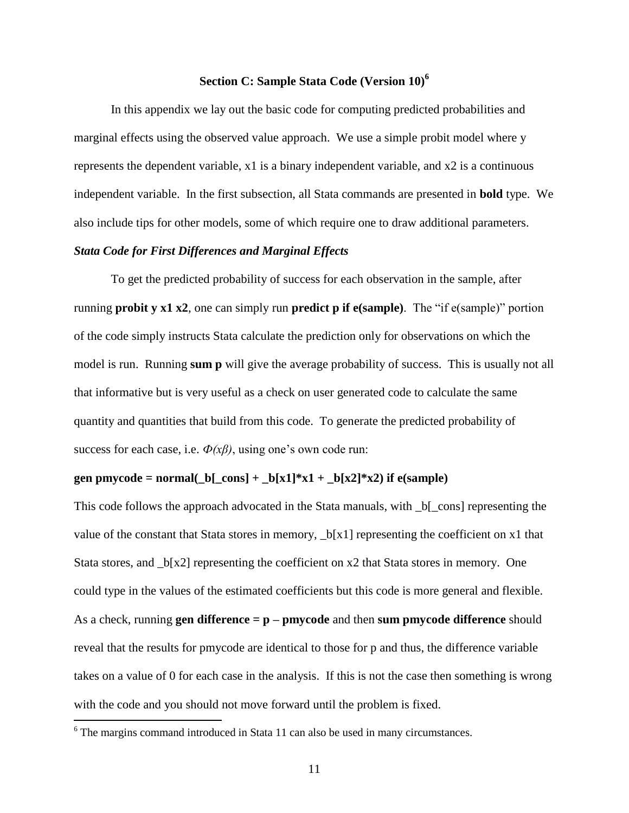## **Section C: Sample Stata Code (Version 10)<sup>6</sup>**

In this appendix we lay out the basic code for computing predicted probabilities and marginal effects using the observed value approach. We use a simple probit model where y represents the dependent variable, x1 is a binary independent variable, and x2 is a continuous independent variable. In the first subsection, all Stata commands are presented in **bold** type. We also include tips for other models, some of which require one to draw additional parameters.

#### *Stata Code for First Differences and Marginal Effects*

To get the predicted probability of success for each observation in the sample, after running **probit y x1 x2**, one can simply run **predict p if e(sample)**. The "if e(sample)" portion of the code simply instructs Stata calculate the prediction only for observations on which the model is run. Running **sum p** will give the average probability of success. This is usually not all that informative but is very useful as a check on user generated code to calculate the same quantity and quantities that build from this code. To generate the predicted probability of success for each case, i.e. *Ф(xβ)*, using one's own code run:

#### **gen pmycode = normal(\_b[\_cons] + \_b[x1]\*x1 + \_b[x2]\*x2) if e(sample)**

This code follows the approach advocated in the Stata manuals, with  $_b[$  cons] representing the value of the constant that Stata stores in memory, \_b[x1] representing the coefficient on x1 that Stata stores, and  $\lfloor b\lfloor x^2\rfloor$  representing the coefficient on x2 that Stata stores in memory. One could type in the values of the estimated coefficients but this code is more general and flexible. As a check, running **gen difference = p – pmycode** and then **sum pmycode difference** should reveal that the results for pmycode are identical to those for p and thus, the difference variable takes on a value of 0 for each case in the analysis. If this is not the case then something is wrong with the code and you should not move forward until the problem is fixed.

<sup>&</sup>lt;sup>6</sup> The margins command introduced in Stata 11 can also be used in many circumstances.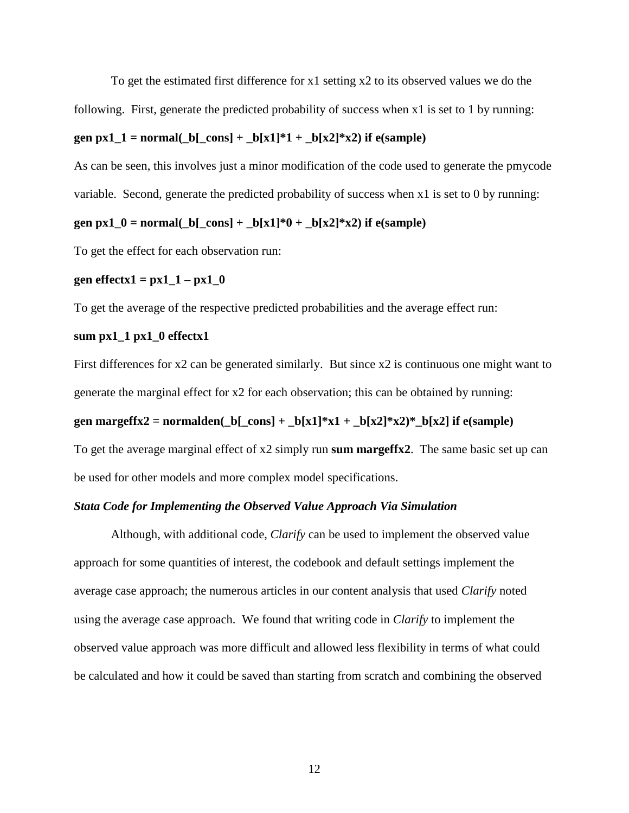To get the estimated first difference for x1 setting x2 to its observed values we do the following. First, generate the predicted probability of success when x1 is set to 1 by running:

#### **gen px1\_1** = normal(\_b[\_cons] + \_b[x1]\*1 + \_b[x2]\*x2) **if** e(sample)

As can be seen, this involves just a minor modification of the code used to generate the pmycode variable. Second, generate the predicted probability of success when x1 is set to 0 by running:

#### **gen px1\_0** = normal(\_b[\_cons] + \_b[x1]\*0 + \_b[x2]\*x2) **if** e(sample)

To get the effect for each observation run:

#### **gen effectx1** =  $px1_1 - px1_0$

To get the average of the respective predicted probabilities and the average effect run:

#### **sum px1\_1 px1\_0 effectx1**

First differences for x2 can be generated similarly. But since x2 is continuous one might want to generate the marginal effect for x2 for each observation; this can be obtained by running: **gen margeffx2 = normalden**( $_b$ [ $_{cons}$ ] +  $_b$ [x1]\*x1 +  $_b$ [x2]\*x2)\*  $_b$ [x2] **if** e(sample) To get the average marginal effect of x2 simply run **sum margeffx2**. The same basic set up can be used for other models and more complex model specifications.

#### *Stata Code for Implementing the Observed Value Approach Via Simulation*

Although, with additional code, *Clarify* can be used to implement the observed value approach for some quantities of interest, the codebook and default settings implement the average case approach; the numerous articles in our content analysis that used *Clarify* noted using the average case approach. We found that writing code in *Clarify* to implement the observed value approach was more difficult and allowed less flexibility in terms of what could be calculated and how it could be saved than starting from scratch and combining the observed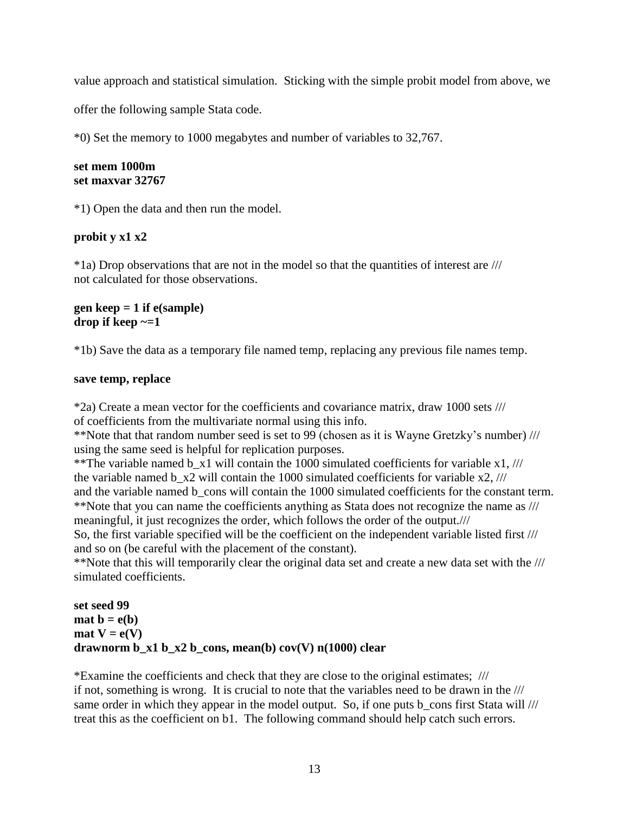value approach and statistical simulation. Sticking with the simple probit model from above, we

offer the following sample Stata code.

\*0) Set the memory to 1000 megabytes and number of variables to 32,767.

## **set mem 1000m set maxvar 32767**

\*1) Open the data and then run the model.

# **probit y x1 x2**

\*1a) Drop observations that are not in the model so that the quantities of interest are /// not calculated for those observations.

## **gen keep = 1 if e(sample) drop if keep ~=1**

\*1b) Save the data as a temporary file named temp, replacing any previous file names temp.

## **save temp, replace**

\*2a) Create a mean vector for the coefficients and covariance matrix, draw 1000 sets /// of coefficients from the multivariate normal using this info.

\*\*Note that that random number seed is set to 99 (chosen as it is Wayne Gretzky's number) /// using the same seed is helpful for replication purposes.

\*\*The variable named b  $x1$  will contain the 1000 simulated coefficients for variable  $x1$ , /// the variable named b\_x2 will contain the 1000 simulated coefficients for variable x2, /// and the variable named b cons will contain the 1000 simulated coefficients for the constant term. \*\*Note that you can name the coefficients anything as Stata does not recognize the name as /// meaningful, it just recognizes the order, which follows the order of the output.///

So, the first variable specified will be the coefficient on the independent variable listed first /// and so on (be careful with the placement of the constant).

\*\*Note that this will temporarily clear the original data set and create a new data set with the /// simulated coefficients.

```
set seed 99
\textbf{mat } \mathbf{b} = \mathbf{e}(\mathbf{b})\text{mat } V = e(V)drawnorm b_x1 b_x2 b_cons, mean(b) cov(V) n(1000) clear
```
\*Examine the coefficients and check that they are close to the original estimates; /// if not, something is wrong. It is crucial to note that the variables need to be drawn in the /// same order in which they appear in the model output. So, if one puts b\_cons first Stata will /// treat this as the coefficient on b1. The following command should help catch such errors.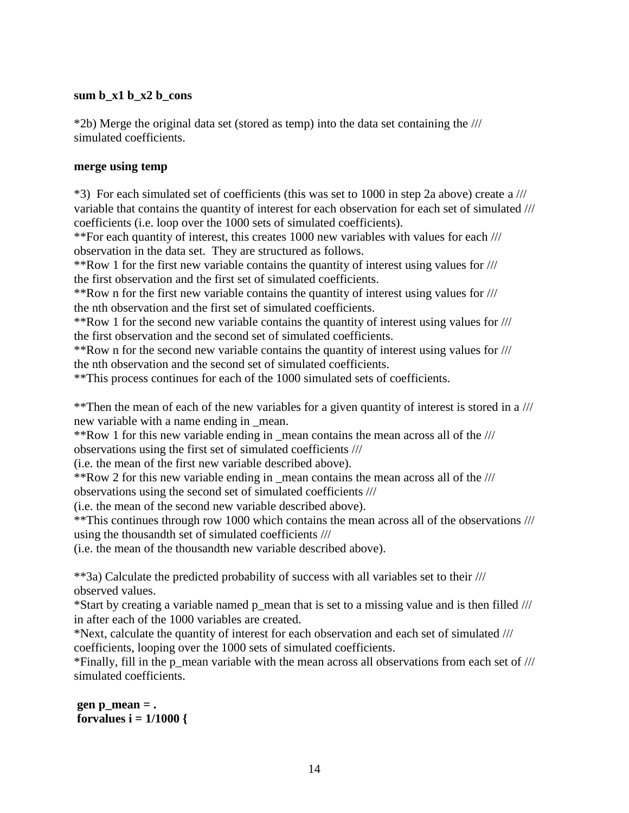### **sum b\_x1 b\_x2 b\_cons**

\*2b) Merge the original data set (stored as temp) into the data set containing the /// simulated coefficients.

### **merge using temp**

\*3) For each simulated set of coefficients (this was set to 1000 in step 2a above) create a /// variable that contains the quantity of interest for each observation for each set of simulated /// coefficients (i.e. loop over the 1000 sets of simulated coefficients).

\*\*For each quantity of interest, this creates 1000 new variables with values for each /// observation in the data set. They are structured as follows.

\*\*Row 1 for the first new variable contains the quantity of interest using values for /// the first observation and the first set of simulated coefficients.

\*\*Row n for the first new variable contains the quantity of interest using values for /// the nth observation and the first set of simulated coefficients.

\*\*Row 1 for the second new variable contains the quantity of interest using values for /// the first observation and the second set of simulated coefficients.

\*\*Row n for the second new variable contains the quantity of interest using values for /// the nth observation and the second set of simulated coefficients.

\*\*This process continues for each of the 1000 simulated sets of coefficients.

\*\*Then the mean of each of the new variables for a given quantity of interest is stored in a /// new variable with a name ending in \_mean.

\*\*Row 1 for this new variable ending in \_mean contains the mean across all of the /// observations using the first set of simulated coefficients ///

(i.e. the mean of the first new variable described above).

\*\*Row 2 for this new variable ending in \_mean contains the mean across all of the ///

observations using the second set of simulated coefficients ///

(i.e. the mean of the second new variable described above).

\*\*This continues through row 1000 which contains the mean across all of the observations /// using the thousandth set of simulated coefficients ///

(i.e. the mean of the thousandth new variable described above).

\*\*3a) Calculate the predicted probability of success with all variables set to their /// observed values.

\*Start by creating a variable named p\_mean that is set to a missing value and is then filled /// in after each of the 1000 variables are created.

\*Next, calculate the quantity of interest for each observation and each set of simulated /// coefficients, looping over the 1000 sets of simulated coefficients.

\*Finally, fill in the p\_mean variable with the mean across all observations from each set of /// simulated coefficients.

**gen p\_mean = . forvalues i = 1/1000 {**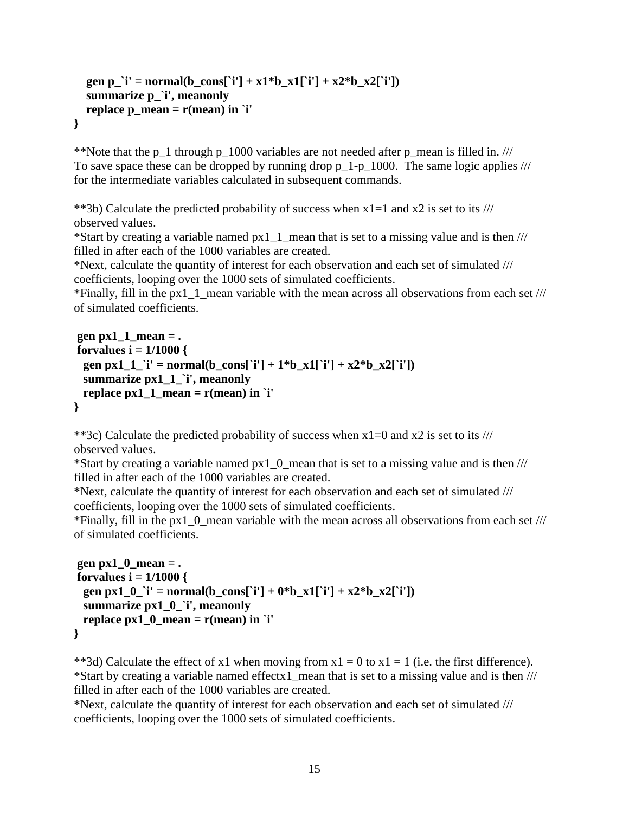```
gen p_'i' = normal(b_cons['i'] + x1*b_x1['i'] + x2*b_x2['i'])
   summarize p_`i', meanonly
   replace p_mean = r(mean) in `i'
}
```
\*\*Note that the p\_1 through p\_1000 variables are not needed after p\_mean is filled in. /// To save space these can be dropped by running drop  $p_1-p_1000$ . The same logic applies /// for the intermediate variables calculated in subsequent commands.

\*\*3b) Calculate the predicted probability of success when  $x1=1$  and  $x2$  is set to its /// observed values.

\*Start by creating a variable named px1\_1\_mean that is set to a missing value and is then /// filled in after each of the 1000 variables are created.

\*Next, calculate the quantity of interest for each observation and each set of simulated /// coefficients, looping over the 1000 sets of simulated coefficients.

\*Finally, fill in the px1\_1\_mean variable with the mean across all observations from each set /// of simulated coefficients.

```
gen px1\ 1 mean = .
forvalues i = 1/1000 {
 gen px1_1_`i' = normal(b_cons[`i'] + 1*b_x1[`i'] + x2*b_x2[`i'])
  summarize px1_1_`i', meanonly
 replace px1_1_mean = r(mean) in `i'
}
```
\*\*3c) Calculate the predicted probability of success when  $x1=0$  and  $x2$  is set to its /// observed values.

\*Start by creating a variable named  $px1$  0 mean that is set to a missing value and is then  $\frac{1}{1}$ filled in after each of the 1000 variables are created.

\*Next, calculate the quantity of interest for each observation and each set of simulated /// coefficients, looping over the 1000 sets of simulated coefficients.

\*Finally, fill in the px1\_0\_mean variable with the mean across all observations from each set /// of simulated coefficients.

```
gen px1_0_mean = .
forvalues i = 1/1000 {
 gen px1_0_`i' = normal(b_cons[`i'] + 0*b_x1[`i'] + x2*b_x2[`i'])
  summarize px1_0_`i', meanonly
  replace px1_0_mean = r(mean) in `i'
}
```
\*\*3d) Calculate the effect of x1 when moving from  $x1 = 0$  to  $x1 = 1$  (i.e. the first difference). \*Start by creating a variable named effectx1\_mean that is set to a missing value and is then /// filled in after each of the 1000 variables are created.

\*Next, calculate the quantity of interest for each observation and each set of simulated /// coefficients, looping over the 1000 sets of simulated coefficients.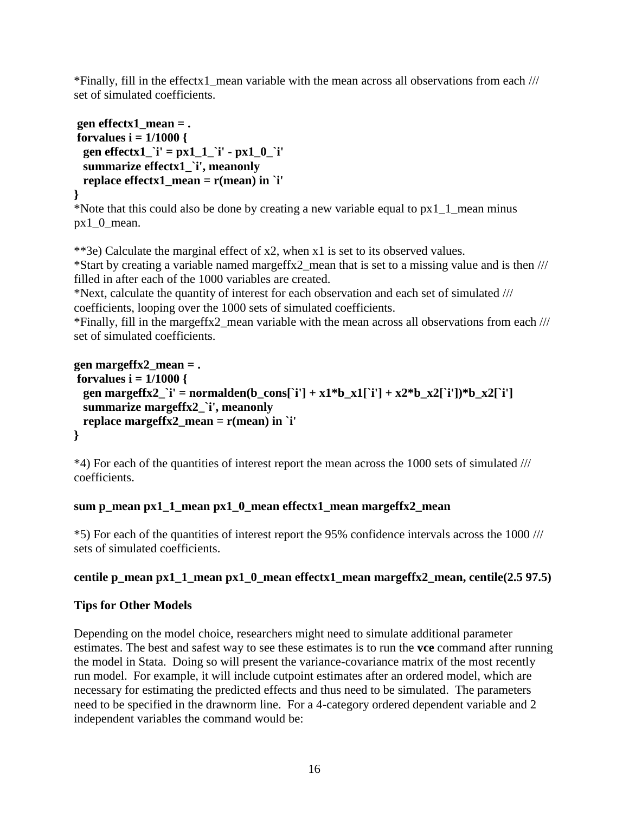\*Finally, fill in the effectx1 mean variable with the mean across all observations from each  $///$ set of simulated coefficients.

```
gen effectx1_mean = .
forvalues i = 1/1000 {
  gen effectx1_`i' = px1_1_`i' - px1_0_`i'
  summarize effectx1_`i', meanonly
  replace effectx1_mean = r(mean) in `i' 
}
```
\*Note that this could also be done by creating a new variable equal to px1\_1\_mean minus px1\_0\_mean.

\*\*3e) Calculate the marginal effect of x2, when x1 is set to its observed values.

\*Start by creating a variable named margeffx2\_mean that is set to a missing value and is then /// filled in after each of the 1000 variables are created.

\*Next, calculate the quantity of interest for each observation and each set of simulated /// coefficients, looping over the 1000 sets of simulated coefficients.

\*Finally, fill in the margeffx2\_mean variable with the mean across all observations from each /// set of simulated coefficients.

```
gen margeffx2_mean = .
forvalues i = 1/1000 {
 gen margeffx2_`i' = normalden(b_cons[`i'] + x1*b_x1[`i'] + x2*b_x2[`i'])*b_x2[`i']
  summarize margeffx2_`i', meanonly
  replace margeffx2_mean = r(mean) in `i' 
}
```
\*4) For each of the quantities of interest report the mean across the 1000 sets of simulated /// coefficients.

# **sum p\_mean px1\_1\_mean px1\_0\_mean effectx1\_mean margeffx2\_mean**

\*5) For each of the quantities of interest report the 95% confidence intervals across the 1000 /// sets of simulated coefficients.

# **centile p\_mean px1\_1\_mean px1\_0\_mean effectx1\_mean margeffx2\_mean, centile(2.5 97.5)**

# **Tips for Other Models**

Depending on the model choice, researchers might need to simulate additional parameter estimates. The best and safest way to see these estimates is to run the **vce** command after running the model in Stata. Doing so will present the variance-covariance matrix of the most recently run model. For example, it will include cutpoint estimates after an ordered model, which are necessary for estimating the predicted effects and thus need to be simulated. The parameters need to be specified in the drawnorm line. For a 4-category ordered dependent variable and 2 independent variables the command would be: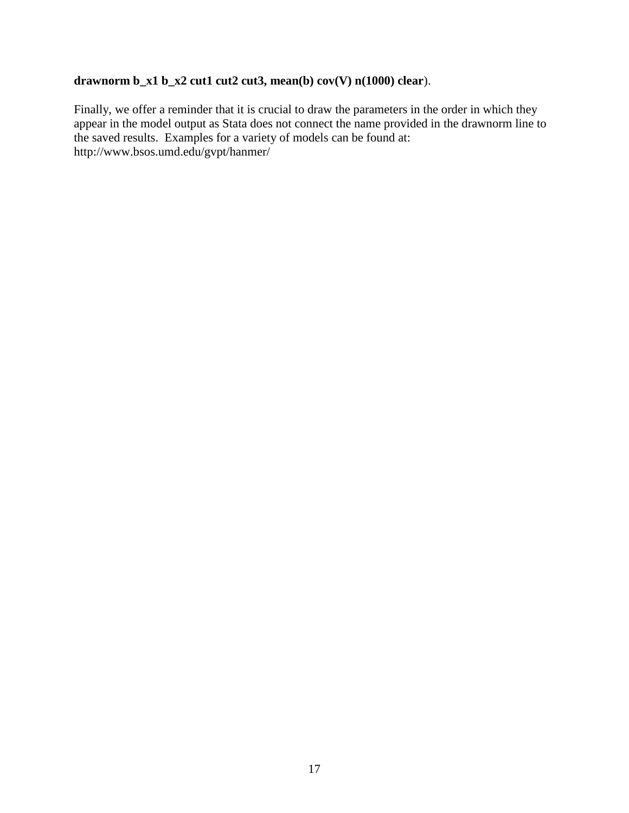# **drawnorm b\_x1 b\_x2 cut1 cut2 cut3, mean(b) cov(V) n(1000) clear**).

Finally, we offer a reminder that it is crucial to draw the parameters in the order in which they appear in the model output as Stata does not connect the name provided in the drawnorm line to the saved results. Examples for a variety of models can be found at: http://www.bsos.umd.edu/gvpt/hanmer/